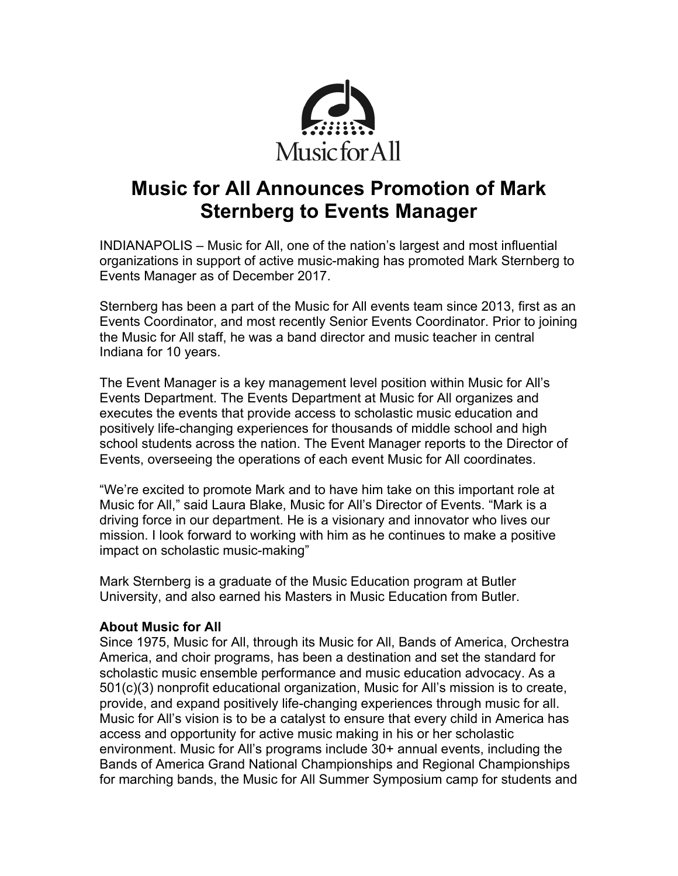

# **Music for All Announces Promotion of Mark Sternberg to Events Manager**

INDIANAPOLIS – Music for All, one of the nation's largest and most influential organizations in support of active music-making has promoted Mark Sternberg to Events Manager as of December 2017.

Sternberg has been a part of the Music for All events team since 2013, first as an Events Coordinator, and most recently Senior Events Coordinator. Prior to joining the Music for All staff, he was a band director and music teacher in central Indiana for 10 years.

The Event Manager is a key management level position within Music for All's Events Department. The Events Department at Music for All organizes and executes the events that provide access to scholastic music education and positively life-changing experiences for thousands of middle school and high school students across the nation. The Event Manager reports to the Director of Events, overseeing the operations of each event Music for All coordinates.

"We're excited to promote Mark and to have him take on this important role at Music for All," said Laura Blake, Music for All's Director of Events. "Mark is a driving force in our department. He is a visionary and innovator who lives our mission. I look forward to working with him as he continues to make a positive impact on scholastic music-making"

Mark Sternberg is a graduate of the Music Education program at Butler University, and also earned his Masters in Music Education from Butler.

## **About Music for All**

Since 1975, Music for All, through its Music for All, Bands of America, Orchestra America, and choir programs, has been a destination and set the standard for scholastic music ensemble performance and music education advocacy. As a 501(c)(3) nonprofit educational organization, Music for All's mission is to create, provide, and expand positively life-changing experiences through music for all. Music for All's vision is to be a catalyst to ensure that every child in America has access and opportunity for active music making in his or her scholastic environment. Music for All's programs include 30+ annual events, including the Bands of America Grand National Championships and Regional Championships for marching bands, the Music for All Summer Symposium camp for students and